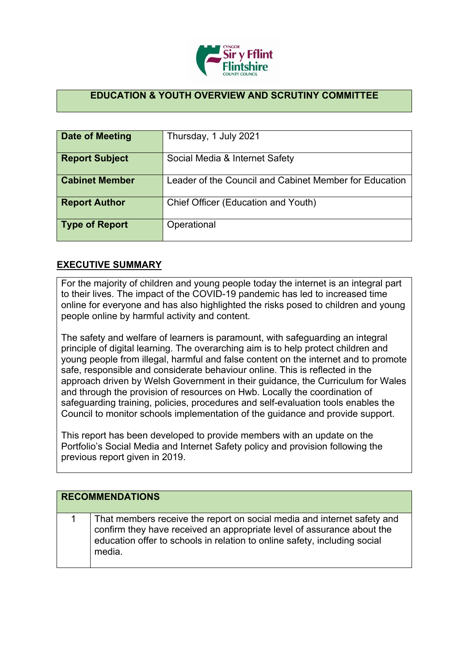

## **EDUCATION & YOUTH OVERVIEW AND SCRUTINY COMMITTEE**

| Date of Meeting       | Thursday, 1 July 2021                                  |
|-----------------------|--------------------------------------------------------|
| <b>Report Subject</b> | Social Media & Internet Safety                         |
| <b>Cabinet Member</b> | Leader of the Council and Cabinet Member for Education |
| <b>Report Author</b>  | Chief Officer (Education and Youth)                    |
| <b>Type of Report</b> | Operational                                            |

## **EXECUTIVE SUMMARY**

For the majority of children and young people today the internet is an integral part to their lives. The impact of the COVID-19 pandemic has led to increased time online for everyone and has also highlighted the risks posed to children and young people online by harmful activity and content.

The safety and welfare of learners is paramount, with safeguarding an integral principle of digital learning. The overarching aim is to help protect children and young people from illegal, harmful and false content on the internet and to promote safe, responsible and considerate behaviour online. This is reflected in the approach driven by Welsh Government in their guidance, the Curriculum for Wales and through the provision of resources on Hwb. Locally the coordination of safeguarding training, policies, procedures and self-evaluation tools enables the Council to monitor schools implementation of the guidance and provide support.

This report has been developed to provide members with an update on the Portfolio's Social Media and Internet Safety policy and provision following the previous report given in 2019.

| <b>RECOMMENDATIONS</b> |                                                                                                                                                                                                                                          |
|------------------------|------------------------------------------------------------------------------------------------------------------------------------------------------------------------------------------------------------------------------------------|
|                        | That members receive the report on social media and internet safety and<br>confirm they have received an appropriate level of assurance about the<br>education offer to schools in relation to online safety, including social<br>media. |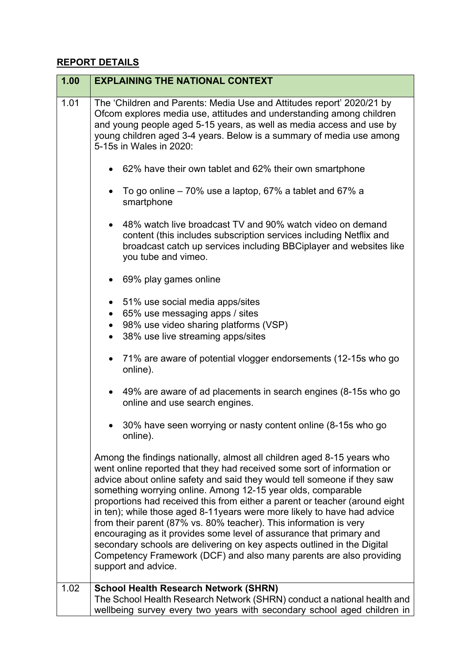## **REPORT DETAILS**

| 1.00 | <b>EXPLAINING THE NATIONAL CONTEXT</b>                                                                                                                                                                                                                                                                                                                                                                                                                                                                                                                                                                                                                                                                                                                                       |
|------|------------------------------------------------------------------------------------------------------------------------------------------------------------------------------------------------------------------------------------------------------------------------------------------------------------------------------------------------------------------------------------------------------------------------------------------------------------------------------------------------------------------------------------------------------------------------------------------------------------------------------------------------------------------------------------------------------------------------------------------------------------------------------|
| 1.01 | The 'Children and Parents: Media Use and Attitudes report' 2020/21 by<br>Ofcom explores media use, attitudes and understanding among children<br>and young people aged 5-15 years, as well as media access and use by<br>young children aged 3-4 years. Below is a summary of media use among<br>5-15s in Wales in 2020:                                                                                                                                                                                                                                                                                                                                                                                                                                                     |
|      | 62% have their own tablet and 62% their own smartphone                                                                                                                                                                                                                                                                                                                                                                                                                                                                                                                                                                                                                                                                                                                       |
|      | To go online $-70\%$ use a laptop, 67% a tablet and 67% a<br>smartphone                                                                                                                                                                                                                                                                                                                                                                                                                                                                                                                                                                                                                                                                                                      |
|      | 48% watch live broadcast TV and 90% watch video on demand<br>content (this includes subscription services including Netflix and<br>broadcast catch up services including BBCiplayer and websites like<br>you tube and vimeo.                                                                                                                                                                                                                                                                                                                                                                                                                                                                                                                                                 |
|      | 69% play games online                                                                                                                                                                                                                                                                                                                                                                                                                                                                                                                                                                                                                                                                                                                                                        |
|      | 51% use social media apps/sites<br>65% use messaging apps / sites<br>$\bullet$<br>98% use video sharing platforms (VSP)<br>38% use live streaming apps/sites                                                                                                                                                                                                                                                                                                                                                                                                                                                                                                                                                                                                                 |
|      | 71% are aware of potential vlogger endorsements (12-15s who go<br>online).                                                                                                                                                                                                                                                                                                                                                                                                                                                                                                                                                                                                                                                                                                   |
|      | 49% are aware of ad placements in search engines (8-15s who go<br>online and use search engines.                                                                                                                                                                                                                                                                                                                                                                                                                                                                                                                                                                                                                                                                             |
|      | 30% have seen worrying or nasty content online (8-15s who go<br>online).                                                                                                                                                                                                                                                                                                                                                                                                                                                                                                                                                                                                                                                                                                     |
|      | Among the findings nationally, almost all children aged 8-15 years who<br>went online reported that they had received some sort of information or<br>advice about online safety and said they would tell someone if they saw<br>something worrying online. Among 12-15 year olds, comparable<br>proportions had received this from either a parent or teacher (around eight<br>in ten); while those aged 8-11 years were more likely to have had advice<br>from their parent (87% vs. 80% teacher). This information is very<br>encouraging as it provides some level of assurance that primary and<br>secondary schools are delivering on key aspects outlined in the Digital<br>Competency Framework (DCF) and also many parents are also providing<br>support and advice. |
| 1.02 | <b>School Health Research Network (SHRN)</b><br>The School Health Research Network (SHRN) conduct a national health and<br>wellbeing survey every two years with secondary school aged children in                                                                                                                                                                                                                                                                                                                                                                                                                                                                                                                                                                           |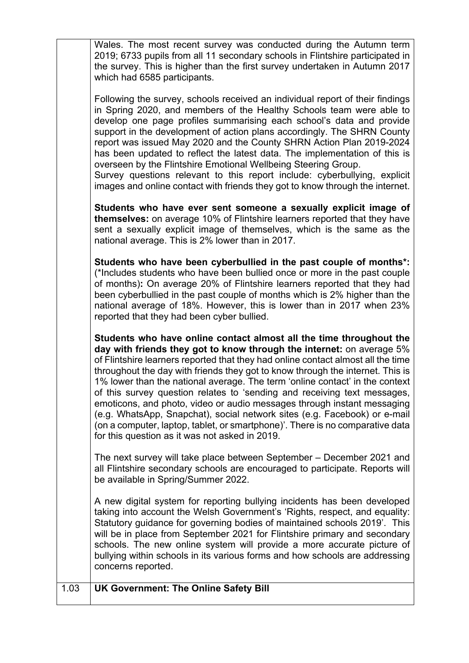| Wales. The most recent survey was conducted during the Autumn term<br>2019; 6733 pupils from all 11 secondary schools in Flintshire participated in<br>the survey. This is higher than the first survey undertaken in Autumn 2017<br>which had 6585 participants.                                                                                                                                                                                                                                                                                                                                                                                                                              |
|------------------------------------------------------------------------------------------------------------------------------------------------------------------------------------------------------------------------------------------------------------------------------------------------------------------------------------------------------------------------------------------------------------------------------------------------------------------------------------------------------------------------------------------------------------------------------------------------------------------------------------------------------------------------------------------------|
| Following the survey, schools received an individual report of their findings<br>in Spring 2020, and members of the Healthy Schools team were able to<br>develop one page profiles summarising each school's data and provide<br>support in the development of action plans accordingly. The SHRN County<br>report was issued May 2020 and the County SHRN Action Plan 2019-2024<br>has been updated to reflect the latest data. The implementation of this is<br>overseen by the Flintshire Emotional Wellbeing Steering Group.<br>Survey questions relevant to this report include: cyberbullying, explicit<br>images and online contact with friends they got to know through the internet. |
| Students who have ever sent someone a sexually explicit image of<br>themselves: on average 10% of Flintshire learners reported that they have<br>sent a sexually explicit image of themselves, which is the same as the<br>national average. This is 2% lower than in 2017.                                                                                                                                                                                                                                                                                                                                                                                                                    |
| Students who have been cyberbullied in the past couple of months*:<br>(*Includes students who have been bullied once or more in the past couple<br>of months): On average 20% of Flintshire learners reported that they had<br>been cyberbullied in the past couple of months which is 2% higher than the<br>national average of 18%. However, this is lower than in 2017 when 23%<br>reported that they had been cyber bullied.                                                                                                                                                                                                                                                               |
| Students who have online contact almost all the time throughout the<br>day with friends they got to know through the internet: on average 5%<br>of Flintshire learners reported that they had online contact almost all the time<br>throughout the day with friends they got to know through the internet. This is<br>1% lower than the national average. The term 'online contact' in the context<br>of this survey question relates to 'sending and receiving text messages,<br>emoticons, and photo, video or audio messages through instant messaging                                                                                                                                      |
| (e.g. WhatsApp, Snapchat), social network sites (e.g. Facebook) or e-mail<br>(on a computer, laptop, tablet, or smartphone)'. There is no comparative data<br>for this question as it was not asked in 2019.                                                                                                                                                                                                                                                                                                                                                                                                                                                                                   |
| The next survey will take place between September - December 2021 and<br>all Flintshire secondary schools are encouraged to participate. Reports will<br>be available in Spring/Summer 2022.                                                                                                                                                                                                                                                                                                                                                                                                                                                                                                   |
| A new digital system for reporting bullying incidents has been developed<br>taking into account the Welsh Government's 'Rights, respect, and equality:<br>Statutory guidance for governing bodies of maintained schools 2019'. This<br>will be in place from September 2021 for Flintshire primary and secondary<br>schools. The new online system will provide a more accurate picture of<br>bullying within schools in its various forms and how schools are addressing<br>concerns reported.                                                                                                                                                                                                |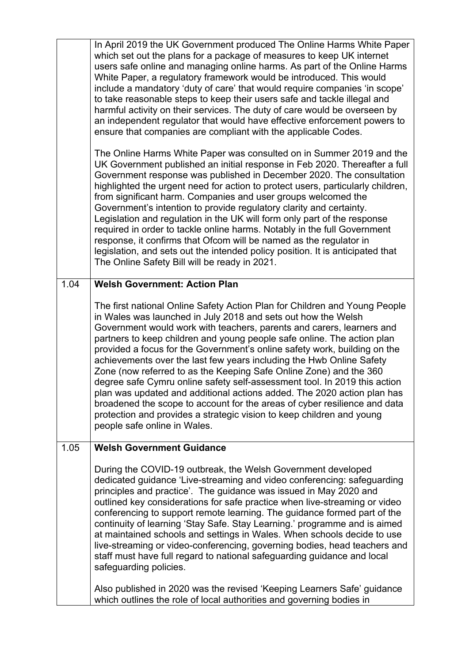|      | In April 2019 the UK Government produced The Online Harms White Paper<br>which set out the plans for a package of measures to keep UK internet<br>users safe online and managing online harms. As part of the Online Harms<br>White Paper, a regulatory framework would be introduced. This would<br>include a mandatory 'duty of care' that would require companies 'in scope'<br>to take reasonable steps to keep their users safe and tackle illegal and<br>harmful activity on their services. The duty of care would be overseen by<br>an independent regulator that would have effective enforcement powers to<br>ensure that companies are compliant with the applicable Codes.                                                                                                                                                                                   |
|------|--------------------------------------------------------------------------------------------------------------------------------------------------------------------------------------------------------------------------------------------------------------------------------------------------------------------------------------------------------------------------------------------------------------------------------------------------------------------------------------------------------------------------------------------------------------------------------------------------------------------------------------------------------------------------------------------------------------------------------------------------------------------------------------------------------------------------------------------------------------------------|
|      | The Online Harms White Paper was consulted on in Summer 2019 and the<br>UK Government published an initial response in Feb 2020. Thereafter a full<br>Government response was published in December 2020. The consultation<br>highlighted the urgent need for action to protect users, particularly children,<br>from significant harm. Companies and user groups welcomed the<br>Government's intention to provide regulatory clarity and certainty.<br>Legislation and regulation in the UK will form only part of the response<br>required in order to tackle online harms. Notably in the full Government<br>response, it confirms that Ofcom will be named as the regulator in<br>legislation, and sets out the intended policy position. It is anticipated that<br>The Online Safety Bill will be ready in 2021.                                                   |
| 1.04 | <b>Welsh Government: Action Plan</b>                                                                                                                                                                                                                                                                                                                                                                                                                                                                                                                                                                                                                                                                                                                                                                                                                                     |
|      | The first national Online Safety Action Plan for Children and Young People<br>in Wales was launched in July 2018 and sets out how the Welsh<br>Government would work with teachers, parents and carers, learners and<br>partners to keep children and young people safe online. The action plan<br>provided a focus for the Government's online safety work, building on the<br>achievements over the last few years including the Hwb Online Safety<br>Zone (now referred to as the Keeping Safe Online Zone) and the 360<br>degree safe Cymru online safety self-assessment tool. In 2019 this action<br>plan was updated and additional actions added. The 2020 action plan has<br>broadened the scope to account for the areas of cyber resilience and data<br>protection and provides a strategic vision to keep children and young<br>people safe online in Wales. |
| 1.05 | <b>Welsh Government Guidance</b>                                                                                                                                                                                                                                                                                                                                                                                                                                                                                                                                                                                                                                                                                                                                                                                                                                         |
|      | During the COVID-19 outbreak, the Welsh Government developed<br>dedicated guidance 'Live-streaming and video conferencing: safeguarding<br>principles and practice'. The guidance was issued in May 2020 and<br>outlined key considerations for safe practice when live-streaming or video<br>conferencing to support remote learning. The guidance formed part of the<br>continuity of learning 'Stay Safe. Stay Learning.' programme and is aimed<br>at maintained schools and settings in Wales. When schools decide to use<br>live-streaming or video-conferencing, governing bodies, head teachers and<br>staff must have full regard to national safeguarding guidance and local<br>safeguarding policies.                                                                                                                                                         |
|      | Also published in 2020 was the revised 'Keeping Learners Safe' guidance<br>which outlines the role of local authorities and governing bodies in                                                                                                                                                                                                                                                                                                                                                                                                                                                                                                                                                                                                                                                                                                                          |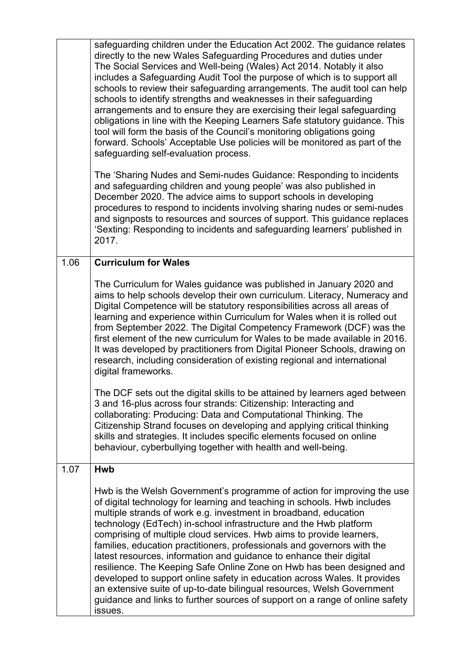|      | safeguarding children under the Education Act 2002. The guidance relates<br>directly to the new Wales Safeguarding Procedures and duties under<br>The Social Services and Well-being (Wales) Act 2014. Notably it also<br>includes a Safeguarding Audit Tool the purpose of which is to support all<br>schools to review their safeguarding arrangements. The audit tool can help<br>schools to identify strengths and weaknesses in their safeguarding<br>arrangements and to ensure they are exercising their legal safeguarding<br>obligations in line with the Keeping Learners Safe statutory guidance. This<br>tool will form the basis of the Council's monitoring obligations going<br>forward. Schools' Acceptable Use policies will be monitored as part of the<br>safeguarding self-evaluation process.<br>The 'Sharing Nudes and Semi-nudes Guidance: Responding to incidents<br>and safeguarding children and young people' was also published in<br>December 2020. The advice aims to support schools in developing<br>procedures to respond to incidents involving sharing nudes or semi-nudes<br>and signposts to resources and sources of support. This guidance replaces<br>'Sexting: Responding to incidents and safeguarding learners' published in<br>2017. |
|------|----------------------------------------------------------------------------------------------------------------------------------------------------------------------------------------------------------------------------------------------------------------------------------------------------------------------------------------------------------------------------------------------------------------------------------------------------------------------------------------------------------------------------------------------------------------------------------------------------------------------------------------------------------------------------------------------------------------------------------------------------------------------------------------------------------------------------------------------------------------------------------------------------------------------------------------------------------------------------------------------------------------------------------------------------------------------------------------------------------------------------------------------------------------------------------------------------------------------------------------------------------------------------------|
| 1.06 | <b>Curriculum for Wales</b>                                                                                                                                                                                                                                                                                                                                                                                                                                                                                                                                                                                                                                                                                                                                                                                                                                                                                                                                                                                                                                                                                                                                                                                                                                                      |
|      | The Curriculum for Wales guidance was published in January 2020 and<br>aims to help schools develop their own curriculum. Literacy, Numeracy and<br>Digital Competence will be statutory responsibilities across all areas of<br>learning and experience within Curriculum for Wales when it is rolled out<br>from September 2022. The Digital Competency Framework (DCF) was the<br>first element of the new curriculum for Wales to be made available in 2016.<br>It was developed by practitioners from Digital Pioneer Schools, drawing on<br>research, including consideration of existing regional and international<br>digital frameworks.<br>The DCF sets out the digital skills to be attained by learners aged between<br>3 and 16-plus across four strands: Citizenship: Interacting and<br>collaborating: Producing: Data and Computational Thinking. The<br>Citizenship Strand focuses on developing and applying critical thinking<br>skills and strategies. It includes specific elements focused on online<br>behaviour, cyberbullying together with health and well-being.                                                                                                                                                                                      |
| 1.07 | <b>Hwb</b><br>Hwb is the Welsh Government's programme of action for improving the use<br>of digital technology for learning and teaching in schools. Hwb includes<br>multiple strands of work e.g. investment in broadband, education<br>technology (EdTech) in-school infrastructure and the Hwb platform<br>comprising of multiple cloud services. Hwb aims to provide learners,<br>families, education practitioners, professionals and governors with the<br>latest resources, information and guidance to enhance their digital<br>resilience. The Keeping Safe Online Zone on Hwb has been designed and<br>developed to support online safety in education across Wales. It provides<br>an extensive suite of up-to-date bilingual resources, Welsh Government<br>guidance and links to further sources of support on a range of online safety<br>issues.                                                                                                                                                                                                                                                                                                                                                                                                                  |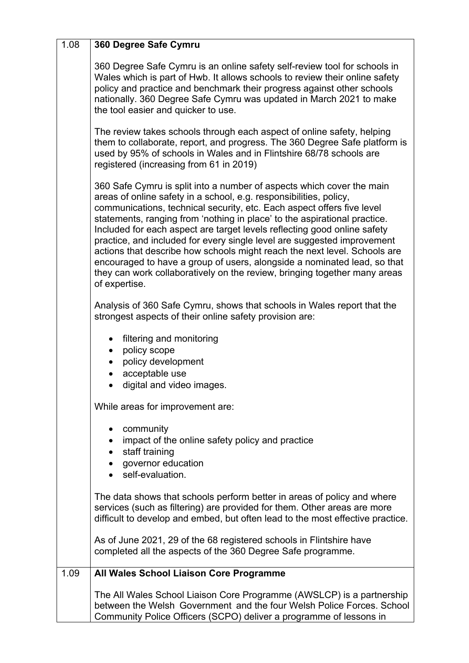| 1.08 | 360 Degree Safe Cymru                                                                                                                                                                                                                                                                                                                                                                                                                                                                                                                                                                                                                                                                                            |
|------|------------------------------------------------------------------------------------------------------------------------------------------------------------------------------------------------------------------------------------------------------------------------------------------------------------------------------------------------------------------------------------------------------------------------------------------------------------------------------------------------------------------------------------------------------------------------------------------------------------------------------------------------------------------------------------------------------------------|
|      | 360 Degree Safe Cymru is an online safety self-review tool for schools in<br>Wales which is part of Hwb. It allows schools to review their online safety<br>policy and practice and benchmark their progress against other schools<br>nationally. 360 Degree Safe Cymru was updated in March 2021 to make<br>the tool easier and quicker to use.                                                                                                                                                                                                                                                                                                                                                                 |
|      | The review takes schools through each aspect of online safety, helping<br>them to collaborate, report, and progress. The 360 Degree Safe platform is<br>used by 95% of schools in Wales and in Flintshire 68/78 schools are<br>registered (increasing from 61 in 2019)                                                                                                                                                                                                                                                                                                                                                                                                                                           |
|      | 360 Safe Cymru is split into a number of aspects which cover the main<br>areas of online safety in a school, e.g. responsibilities, policy,<br>communications, technical security, etc. Each aspect offers five level<br>statements, ranging from 'nothing in place' to the aspirational practice.<br>Included for each aspect are target levels reflecting good online safety<br>practice, and included for every single level are suggested improvement<br>actions that describe how schools might reach the next level. Schools are<br>encouraged to have a group of users, alongside a nominated lead, so that<br>they can work collaboratively on the review, bringing together many areas<br>of expertise. |
|      | Analysis of 360 Safe Cymru, shows that schools in Wales report that the<br>strongest aspects of their online safety provision are:                                                                                                                                                                                                                                                                                                                                                                                                                                                                                                                                                                               |
|      | filtering and monitoring<br>policy scope<br>$\bullet$<br>policy development<br>acceptable use<br>digital and video images.                                                                                                                                                                                                                                                                                                                                                                                                                                                                                                                                                                                       |
|      | While areas for improvement are:                                                                                                                                                                                                                                                                                                                                                                                                                                                                                                                                                                                                                                                                                 |
|      | community<br>impact of the online safety policy and practice<br>staff training<br>governor education<br>self-evaluation.                                                                                                                                                                                                                                                                                                                                                                                                                                                                                                                                                                                         |
|      | The data shows that schools perform better in areas of policy and where<br>services (such as filtering) are provided for them. Other areas are more<br>difficult to develop and embed, but often lead to the most effective practice.                                                                                                                                                                                                                                                                                                                                                                                                                                                                            |
|      | As of June 2021, 29 of the 68 registered schools in Flintshire have<br>completed all the aspects of the 360 Degree Safe programme.                                                                                                                                                                                                                                                                                                                                                                                                                                                                                                                                                                               |
| 1.09 | All Wales School Liaison Core Programme                                                                                                                                                                                                                                                                                                                                                                                                                                                                                                                                                                                                                                                                          |
|      | The All Wales School Liaison Core Programme (AWSLCP) is a partnership<br>between the Welsh Government and the four Welsh Police Forces. School<br>Community Police Officers (SCPO) deliver a programme of lessons in                                                                                                                                                                                                                                                                                                                                                                                                                                                                                             |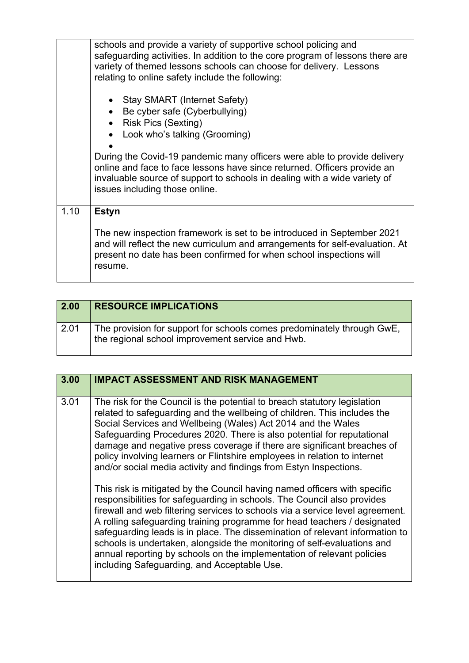|      | schools and provide a variety of supportive school policing and<br>safeguarding activities. In addition to the core program of lessons there are<br>variety of themed lessons schools can choose for delivery. Lessons<br>relating to online safety include the following:        |
|------|-----------------------------------------------------------------------------------------------------------------------------------------------------------------------------------------------------------------------------------------------------------------------------------|
|      | • Stay SMART (Internet Safety)<br>Be cyber safe (Cyberbullying)<br>• Risk Pics (Sexting)<br>Look who's talking (Grooming)<br>During the Covid-19 pandemic many officers were able to provide delivery<br>online and face to face lessons have since returned. Officers provide an |
|      | invaluable source of support to schools in dealing with a wide variety of<br>issues including those online.                                                                                                                                                                       |
| 1.10 | <b>Estyn</b><br>The new inspection framework is set to be introduced in September 2021<br>and will reflect the new curriculum and arrangements for self-evaluation. At<br>present no date has been confirmed for when school inspections will<br>resume.                          |

| 2.00 | <b>RESOURCE IMPLICATIONS</b>                                                                                               |
|------|----------------------------------------------------------------------------------------------------------------------------|
| 2.01 | The provision for support for schools comes predominately through GwE,<br>the regional school improvement service and Hwb. |

| 3.00 | <b>IMPACT ASSESSMENT AND RISK MANAGEMENT</b>                                                                                                                                                                                                                                                                                                                                                                                                                                                                                                                                                                                                                                                                                                                                                                                                                                                                                                                                                                                                                                                                                          |
|------|---------------------------------------------------------------------------------------------------------------------------------------------------------------------------------------------------------------------------------------------------------------------------------------------------------------------------------------------------------------------------------------------------------------------------------------------------------------------------------------------------------------------------------------------------------------------------------------------------------------------------------------------------------------------------------------------------------------------------------------------------------------------------------------------------------------------------------------------------------------------------------------------------------------------------------------------------------------------------------------------------------------------------------------------------------------------------------------------------------------------------------------|
| 3.01 | The risk for the Council is the potential to breach statutory legislation<br>related to safeguarding and the wellbeing of children. This includes the<br>Social Services and Wellbeing (Wales) Act 2014 and the Wales<br>Safeguarding Procedures 2020. There is also potential for reputational<br>damage and negative press coverage if there are significant breaches of<br>policy involving learners or Flintshire employees in relation to internet<br>and/or social media activity and findings from Estyn Inspections.<br>This risk is mitigated by the Council having named officers with specific<br>responsibilities for safeguarding in schools. The Council also provides<br>firewall and web filtering services to schools via a service level agreement.<br>A rolling safeguarding training programme for head teachers / designated<br>safeguarding leads is in place. The dissemination of relevant information to<br>schools is undertaken, alongside the monitoring of self-evaluations and<br>annual reporting by schools on the implementation of relevant policies<br>including Safeguarding, and Acceptable Use. |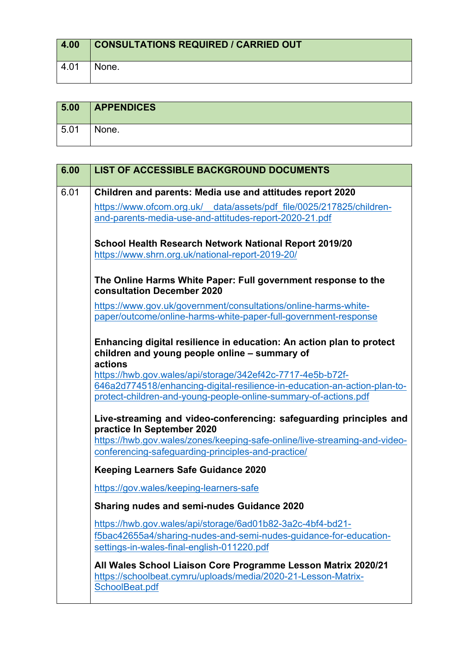| 4.00  | <b>CONSULTATIONS REQUIRED / CARRIED OUT</b> |
|-------|---------------------------------------------|
| -4.01 | None.                                       |

| 5.00 | <b>APPENDICES</b> |
|------|-------------------|
| 5.01 | None.             |

| 6.00 | <b>LIST OF ACCESSIBLE BACKGROUND DOCUMENTS</b>                                                                                                                                |
|------|-------------------------------------------------------------------------------------------------------------------------------------------------------------------------------|
| 6.01 | Children and parents: Media use and attitudes report 2020                                                                                                                     |
|      | https://www.ofcom.org.uk/ data/assets/pdf file/0025/217825/children-                                                                                                          |
|      | and-parents-media-use-and-attitudes-report-2020-21.pdf                                                                                                                        |
|      | School Health Research Network National Report 2019/20<br>https://www.shrn.org.uk/national-report-2019-20/                                                                    |
|      | The Online Harms White Paper: Full government response to the<br>consultation December 2020                                                                                   |
|      | https://www.gov.uk/government/consultations/online-harms-white-                                                                                                               |
|      | paper/outcome/online-harms-white-paper-full-government-response                                                                                                               |
|      | Enhancing digital resilience in education: An action plan to protect<br>children and young people online - summary of<br>actions                                              |
|      | https://hwb.gov.wales/api/storage/342ef42c-7717-4e5b-b72f-                                                                                                                    |
|      | 646a2d774518/enhancing-digital-resilience-in-education-an-action-plan-to-<br>protect-children-and-young-people-online-summary-of-actions.pdf                                  |
|      | Live-streaming and video-conferencing: safeguarding principles and<br>practice In September 2020<br>https://hwb.gov.wales/zones/keeping-safe-online/live-streaming-and-video- |
|      | conferencing-safeguarding-principles-and-practice/                                                                                                                            |
|      | <b>Keeping Learners Safe Guidance 2020</b>                                                                                                                                    |
|      | https://gov.wales/keeping-learners-safe                                                                                                                                       |
|      | Sharing nudes and semi-nudes Guidance 2020                                                                                                                                    |
|      | https://hwb.gov.wales/api/storage/6ad01b82-3a2c-4bf4-bd21-                                                                                                                    |
|      | f5bac42655a4/sharing-nudes-and-semi-nudes-guidance-for-education-<br>settings-in-wales-final-english-011220.pdf                                                               |
|      | All Wales School Liaison Core Programme Lesson Matrix 2020/21<br>https://schoolbeat.cymru/uploads/media/2020-21-Lesson-Matrix-<br>SchoolBeat.pdf                              |
|      |                                                                                                                                                                               |